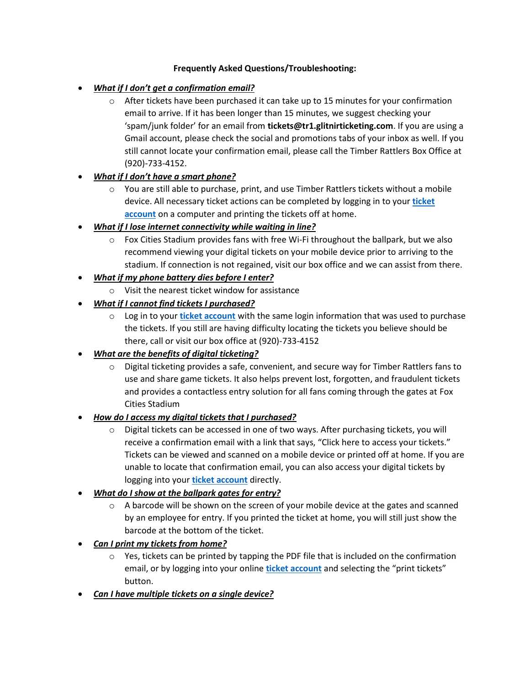#### **Frequently Asked Questions/Troubleshooting:**

### • *What if I don't get a confirmation email?*

 $\circ$  After tickets have been purchased it can take up to 15 minutes for your confirmation email to arrive. If it has been longer than 15 minutes, we suggest checking your 'spam/junk folder' for an email from **tickets@tr1.glitnirticketing.com**. If you are using a Gmail account, please check the social and promotions tabs of your inbox as well. If you still cannot locate your confirmation email, please call the Timber Rattlers Box Office at (920)-733-4152.

### • *What if I don't have a smart phone?*

- $\circ$  You are still able to purchase, print, and use Timber Rattlers tickets without a mobile device. All necessary ticket actions can be completed by logging in to your **[ticket](https://tr1.glitnirticketing.com/trticket/web/login.php?ret_link=%2Ftrticket%2Fweb%2Fweborders.php&type=notLogged)  [account](https://tr1.glitnirticketing.com/trticket/web/login.php?ret_link=%2Ftrticket%2Fweb%2Fweborders.php&type=notLogged)** on a computer and printing the tickets off at home.
- *What if I lose internet connectivity while waiting in line?*
	- o Fox Cities Stadium provides fans with free Wi-Fi throughout the ballpark, but we also recommend viewing your digital tickets on your mobile device prior to arriving to the stadium. If connection is not regained, visit our box office and we can assist from there.
- *What if my phone battery dies before I enter?*
	- o Visit the nearest ticket window for assistance
- *What if I cannot find tickets I purchased?*
	- o Log in to your **[ticket account](https://tr1.glitnirticketing.com/trticket/web/login.php?ret_link=%2Ftrticket%2Fweb%2Fweborders.php&type=notLogged)** with the same login information that was used to purchase the tickets. If you still are having difficulty locating the tickets you believe should be there, call or visit our box office at (920)-733-4152

# • *What are the benefits of digital ticketing?*

 $\circ$  Digital ticketing provides a safe, convenient, and secure way for Timber Rattlers fans to use and share game tickets. It also helps prevent lost, forgotten, and fraudulent tickets and provides a contactless entry solution for all fans coming through the gates at Fox Cities Stadium

### • *How do I access my digital tickets that I purchased?*

 $\circ$  Digital tickets can be accessed in one of two ways. After purchasing tickets, you will receive a confirmation email with a link that says, "Click here to access your tickets." Tickets can be viewed and scanned on a mobile device or printed off at home. If you are unable to locate that confirmation email, you can also access your digital tickets by logging into your **[ticket account](https://tr1.glitnirticketing.com/trticket/web/login.php?ret_link=%2Ftrticket%2Fweb%2Fweborders.php&type=notLogged)** directly.

# • *What do I show at the ballpark gates for entry?*

- $\circ$  A barcode will be shown on the screen of your mobile device at the gates and scanned by an employee for entry. If you printed the ticket at home, you will still just show the barcode at the bottom of the ticket.
- *Can I print my tickets from home?*
	- $\circ$  Yes, tickets can be printed by tapping the PDF file that is included on the confirmation email, or by logging into your online **[ticket account](https://tr1.glitnirticketing.com/trticket/web/login.php?ret_link=%2Ftrticket%2Fweb%2Fweborders.php&type=notLogged)** and selecting the "print tickets" button.
- *Can I have multiple tickets on a single device?*